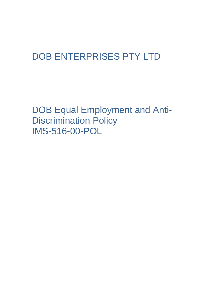# DOB ENTERPRISES PTY LTD

DOB Equal Employment and Anti-Discrimination Policy IMS-516-00-POL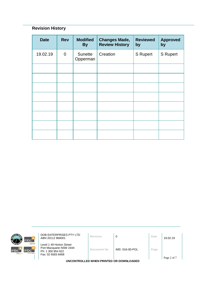# **Revision History**

| <b>Date</b> | <b>Rev</b>  | <b>Modified</b><br><b>By</b> | <b>Changes Made,</b><br><b>Review History</b> | <b>Reviewed</b><br>by | <b>Approved</b><br>by |
|-------------|-------------|------------------------------|-----------------------------------------------|-----------------------|-----------------------|
| 19.02.19    | $\mathbf 0$ | Sunette<br>Opperman          | Creation                                      | <b>S</b> Rupert       | <b>S</b> Rupert       |
|             |             |                              |                                               |                       |                       |
|             |             |                              |                                               |                       |                       |
|             |             |                              |                                               |                       |                       |
|             |             |                              |                                               |                       |                       |
|             |             |                              |                                               |                       |                       |
|             |             |                              |                                               |                       |                       |
|             |             |                              |                                               |                       |                       |
|             |             |                              |                                               |                       |                       |



**DOB ENTERPRISES PTY LTD**<br>ABN 20112 866001 **Revision 0 D Date** 19.02.19

Level 1 49 Horton Street Port Macquarie NSW 2444 Ph: 1 300 854 622 Fax: 02 6583 8468

**Document No** IMS -516-00-POL **Page**

**UNCONTROLLED WHEN PRINTED OR DOWNLOADED**

Page 2 of 7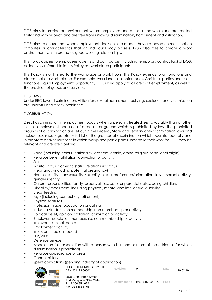DOB aims to provide an environment where employees and others in the workplace are treated fairly and with respect, and are free from unlawful discrimination, harassment and vilification.

DOB aims to ensure that when employment decisions are made, they are based on merit, not on attributes or characteristics that an individual may possess. DOB also tries to create a work environment which promotes good working relationships.

This Policy applies to employees, agents and contractors (including temporary contractors) of DOB, collectively referred to in this Policy as 'workplace participants'.

This Policy is not limited to the workplace or work hours. This Policy extends to all functions and places that are work related. For example, work lunches, conferences, Christmas parties and client functions. Equal Employment Opportunity (EEO) laws apply to all areas of employment, as well as the provision of goods and services.

#### EEO LAWS

Under EEO laws, discrimination, vilification, sexual harassment, bullying, exclusion and victimisation are unlawful and strictly prohibited.

#### DISCRIMINATION

Direct discrimination in employment occurs when a person is treated less favourably than another in their employment because of a reason or ground which is prohibited by law. The prohibited grounds of discrimination are set out in the Federal, State and Territory anti-discrimination laws and include sex, race, age etc. A full list of the grounds of discrimination which operate federally and in the State and/or Territories in which workplace participants undertake their work for DOB may be relevant and are listed below:

- Race (including colour, nationality, descent, ethnic, ethno-religious or national origin)
- Religious belief, affiliation, conviction or activity
- Sex
- Marital status, domestic status, relationship status
- Pregnancy (including potential pregnancy)
- Homosexuality, transsexuality, sexuality, sexual preference/orientation, lawful sexual activity, gender identity
- Carers' responsibilities, family responsibilities, carer or parental status, being childless
- Disability/impairment, including physical, mental and intellectual disability
- **Breastfeeding**
- Age (including compulsory retirement)
- Physical features
- Profession, trade, occupation or calling
- Industrial/trade union membership, non-membership or activity
- Political belief, opinion, affiliation, conviction or activity
- Employer association membership, non-membership or activity
- Irrelevant criminal record
- Employment activity
- Irrelevant medical record
- HIV/AIDS
- Defence service
- Association (i.e. association with a person who has one or more of the attributes for which discrimination is prohibited)
- Religious appearance or dress
- Gender history
- Spent convictions (pending industry of application)

| <b>KULTZ</b><br>mbc <sup>-</sup>                                        | DOB ENTERPRISES PTY LTD<br>ABN 20112 866001                                                   | Revision    |                | Date | 19.02.19    |
|-------------------------------------------------------------------------|-----------------------------------------------------------------------------------------------|-------------|----------------|------|-------------|
| <b>Inhour hire</b><br>mbc <sup>3</sup><br>mbc`<br>mte<br>sursing agency | Level 1 49 Horton Street<br>Port Macquarie NSW 2444<br>Ph: 1 300 854 622<br>Fax: 02 6583 8468 | Document No | IMS-516-00-POL | Page |             |
|                                                                         |                                                                                               |             |                |      | Page 3 of 7 |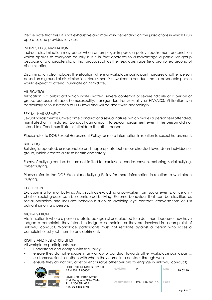Please note that this list is not exhaustive and may vary depending on the jurisdictions in which DOB operates and provides services.

## INDIRECT DISCRIMINATION

Indirect discrimination may occur when an employer imposes a policy, requirement or condition which applies to everyone equally but it in fact operates to disadvantage a particular group because of a characteristic of that group, such as their sex, age, race (ie a prohibited ground of discrimination).

Discrimination also includes the situation where a workplace participant harasses another person based on a ground of discrimination. Harassment is unwelcome conduct that a reasonable person would expect to offend, humiliate or intimidate.

#### VILIFICATION

Vilification is a public act which incites hatred, severe contempt or severe ridicule of a person or group, because of race, homosexuality, transgender, transsexuality or HIV/AIDS. Vilification is a particularly serious breach of EEO laws and will be dealt with accordingly.

## SEXUAL HARASSMENT

Sexual harassment is unwelcome conduct of a sexual nature, which makes a person feel offended, humiliated or intimidated. Conduct can amount to sexual harassment even if the person did not intend to offend, humiliate or intimidate the other person.

Please refer to DOB Sexual Harassment Policy for more information in relation to sexual harassment.

# **BULLYING**

Bullying is repeated, unreasonable and inappropriate behaviour directed towards an individual or group, which creates a risk to health and safety.

Forms of bullying can be, but are not limited to: exclusion, condescension, mobbing, serial bullying, cyberbullying.

Please refer to the DOB Workplace Bullying Policy for more information in relation to workplace bullying.

# EXCLUSION

Exclusion is a form of bullying. Acts such as excluding a co-worker from social events, office chitchat or social groups can be considered bullying. Extreme behaviour that can be classified as social ostracism and includes behaviour such as avoiding eye contact, conversations or just outright ignoring a person.

#### VICTIMISATION

Victimisation is where a person is retaliated against or subjected to a detriment because they have lodged a complaint, they intend to lodge a complaint, or they are involved in a complaint of unlawful conduct. Workplace participants must not retaliate against a person who raises a complaint or subject them to any detriment.

# RIGHTS AND RESPONSIBILITIES

All workplace participants must:

• understand and comply with this Policy;

- ensure they do not engage in any unlawful conduct towards other workplace participants, customers/clients or others with whom they come into contact through work;
- ensure they do not aid, abet or encourage other persons to engage in unlawful conduct;

| <b><i>RAFFIC COLL</i></b> | mbc<br>mo<br><b>Icloour hire</b> |
|---------------------------|----------------------------------|
| mbc                       | mbc                              |
| mtc                       | sursing agency                   |

| ala, abortor oriotologo omor poisons to ongago in omawior condoci,                            |             |                 |      |             |
|-----------------------------------------------------------------------------------------------|-------------|-----------------|------|-------------|
| DOB ENTERPRISES PTY LTD<br>ABN 20112 866001                                                   | Revision    |                 | Date | 19.02.19    |
| Level 1 49 Horton Street<br>Port Macquarie NSW 2444<br>Ph: 1 300 854 622<br>Fax: 02 6583 8468 | Document No | IMS -516-00-POL | Page | Page 4 of 7 |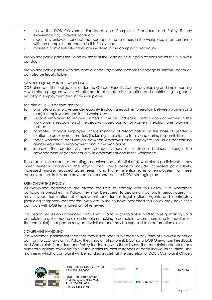- follow the DOB Grievance, Feedback and Complaints Procedure and Policy if they experience any unlawful conduct;
- report any unlawful conduct they see occurring to others in the workplace in accordance with the complaint procedure in this Policy; and
- maintain confidentiality if they are involved in the complaint procedure.

Workplace participants should be aware that they can be held legally responsible for their unlawful conduct.

Workplace participants, who aid, abet or encourage other persons to engage in unlawful conduct, can also be legally liable.

# GENDER EQUALITY IN THE WORKPLACE

DOB aims to fulfil its obligations under the Gender Equality Act, by developing and implementing a workplace program which will attempt to eliminate discrimination and contributing to gender equality in employment and in the workplace.

The aim of DOB's actions are to:

- (a) promote and improve gender equality (including equal remuneration between women and men) in employment and in the workplace;
- (b) support employers to remove barriers to the full and equal participation of women in the workforce, in recognition of the disadvantaged position of women in relation to employment matters;
- (c) promote, amongst employees, the elimination of discrimination on the basis of gender in relation to employment matters (including in relation to family and caring responsibilities);
- (d) foster workplace consultation between employers and employees on issues concerning gender equality in employment and in the workplace;
- (e) improve the productivity and competitiveness of Australian business through the advancement of gender equality in employment and in the workplace.

These actions are about attempting to achieve the potential of all workplace participants. It has direct benefits throughout the organisation. These benefits include increased productivity, increased morale, reduced absenteeism, and higher retention rates of employees. For these reasons, actions in this area have been incorporated into DOB's strategic plan.

#### BREACH OF THIS POLICY

All workplace participants are always required to comply with this Policy. If a workplace participants breaches this Policy, they may be subject to disciplinary action. In serious cases this may include termination of employment and further legal action. Agents and contractors (including temporary contractors) who are found to have breached this Policy may have their contracts with DOB terminated or not renewed.

If a person makes an unfounded complaint or a false complaint in bad faith (e.g. making up a complaint to get someone else in trouble or making a complaint where there is no foundation for the complaint), that person may be disciplined and may be exposed to a defamation claim.

# COMPLAINT HANDLING

If a workplace participant feels that they have been subjected to any form of unlawful conduct contrary to EEO laws or this Policy, they should not ignore it. DOB has a DOB Grievance, Feedback and Complaints Procedure and Policy for dealing with these issues. The complaint procedure has numerous options available to suit the particular circumstances of each individual situation. The manner in which a complaint will be handled is solely at the discretion of DOB's Complaint Officer.



DOB ENTERPRISES PTY LTD ABN 20112 866001 **Revision** <sup>0</sup> **Date** 19.02.19

Level 1 49 Horton Street Port Macquarie NSW 2444 Ph: 1 300 854 622 Fax: 02 6583 8468

| <b>Revision</b> |                | Date | 19.02.19    |
|-----------------|----------------|------|-------------|
| Document No     | IMS-516-00-POL | Page | Page 5 of 7 |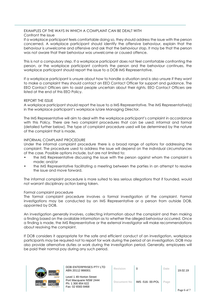#### EXAMPLES OF THE WAYS IN WHICH A COMPLAINT CAN BE DEALT WITH Confront the issue

If a workplace participant feels comfortable doing so, they should address the issue with the person concerned. A workplace participant should identify the offensive behaviour, explain that the behaviour is unwelcome and offensive and ask that the behaviour stop. It may be that the person was not aware that their behaviour was unwelcome or caused offence.

This is not a compulsory step. If a workplace participant does not feel comfortable confronting the person, or the workplace participant confronts the person and the behaviour continues, the workplace participant should report the issue to a DOB IMS Representative.

If a workplace participant is unsure about how to handle a situation and is also unsure if they want to make a complaint they should contact an EEO Contact Officer for support and guidance. The EEO Contact Officers aim to assist people uncertain about their rights. EEO Contact Officers are listed at the end of this EEO Policy.

# REPORT THE ISSUE

A workplace participant should report the issue to a IMS Representative. The IMS Representative(s) in the workplace participant's workplace is/are Managing Director.

The IMS Representative will aim to deal with the workplace participant's complaint in accordance with this Policy. There are two complaint procedures that can be used: informal and formal (detailed further below). The type of complaint procedure used will be determined by the nature of the complaint that is made.

# INFORMAL COMPLAINT PROCEDURE

Under the informal complaint procedure there is a broad range of options for addressing the complaint. The procedure used to address the issue will depend on the individual circumstances of the case. Possible options include, but are not limited to:

- the IMS Representative discussing the issue with the person against whom the complaint is made; and/or
- the IMS Representative facilitating a meeting between the parties in an attempt to resolve the issue and move forward.

The informal complaint procedure is more suited to less serious allegations that if founded, would not warrant disciplinary action being taken.

# Formal complaint procedure

The formal complaint procedure involves a formal investigation of the complaint. Formal investigations may be conducted by an IMS Representative or a person from outside DOB, appointed by DOB.

An investigation generally involves, collecting information about the complaint and then making a finding based on the available information as to whether the alleged behaviour occurred. Once a finding is made, the IMS Representative or the external investigator will make recommendations about resolving the complaint.

If DOB considers it appropriate for the safe and efficient conduct of an investigation, workplace participants may be required not to report for work during the period of an investigation. DOB may also provide alternative duties or work during the investigation period. Generally, employees will be paid their normal pay during any such period.



DOB ENTERPRISES PTY LTD ABN 20112 866001 **Revision** <sup>0</sup> **Date** 19.02.19

Level 1 49 Horton Street Port Macquarie NSW 2444 Ph: 1 300 854 622 Fax: 02 6583 8468

| <b>Revision</b>    |                | Date | 19.02.19    |
|--------------------|----------------|------|-------------|
| <b>Document No</b> | IMS-516-00-POL | Page | Page 6 of 7 |